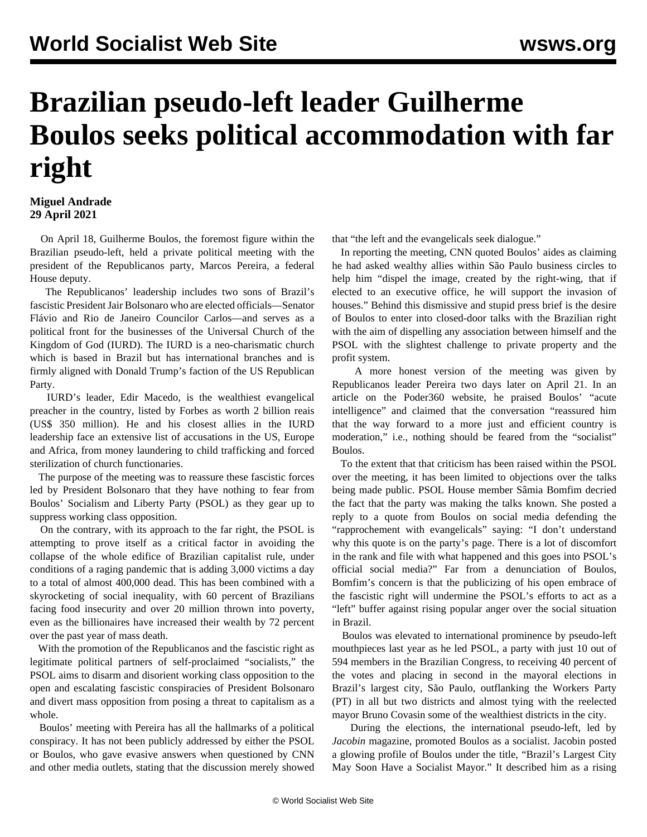## **Brazilian pseudo-left leader Guilherme Boulos seeks political accommodation with far right**

## **Miguel Andrade 29 April 2021**

 On April 18, Guilherme Boulos, the foremost figure within the Brazilian pseudo-left, held a private political meeting with the president of the Republicanos party, Marcos Pereira, a federal House deputy.

 The Republicanos' leadership includes two sons of Brazil's fascistic President Jair Bolsonaro who are elected officials—Senator Flávio and Rio de Janeiro Councilor Carlos—and serves as a political front for the businesses of the Universal Church of the Kingdom of God (IURD). The IURD is a neo-charismatic church which is based in Brazil but has international branches and is firmly aligned with Donald Trump's faction of the US Republican Party.

 IURD's leader, Edir Macedo, is the wealthiest evangelical preacher in the country, listed by Forbes as worth 2 billion reais (US\$ 350 million). He and his closest allies in the IURD leadership face an extensive list of accusations in the US, Europe and Africa, from money laundering to child trafficking and forced sterilization of church functionaries.

 The purpose of the meeting was to reassure these fascistic forces led by President Bolsonaro that they have nothing to fear from Boulos' Socialism and Liberty Party (PSOL) as they gear up to suppress working class opposition.

 On the contrary, with its approach to the far right, the PSOL is attempting to prove itself as a critical factor in avoiding the collapse of the whole edifice of Brazilian capitalist rule, under conditions of a raging pandemic that is adding 3,000 victims a day to a total of almost 400,000 dead. This has been combined with a skyrocketing of social inequality, with 60 percent of Brazilians facing food insecurity and over 20 million thrown into poverty, even as the billionaires have increased their wealth by 72 percent over the past year of mass death.

 With the promotion of the Republicanos and the fascistic right as legitimate political partners of self-proclaimed "socialists," the PSOL aims to disarm and disorient working class opposition to the open and escalating fascistic conspiracies of President Bolsonaro and divert mass opposition from posing a threat to capitalism as a whole.

 Boulos' meeting with Pereira has all the hallmarks of a political conspiracy. It has not been publicly addressed by either the PSOL or Boulos, who gave evasive answers when questioned by CNN and other media outlets, stating that the discussion merely showed that "the left and the evangelicals seek dialogue."

 In reporting the meeting, CNN quoted Boulos' aides as claiming he had asked wealthy allies within São Paulo business circles to help him "dispel the image, created by the right-wing, that if elected to an executive office, he will support the invasion of houses." Behind this dismissive and stupid press brief is the desire of Boulos to enter into closed-door talks with the Brazilian right with the aim of dispelling any association between himself and the PSOL with the slightest challenge to private property and the profit system.

 A more honest version of the meeting was given by Republicanos leader Pereira two days later on April 21. In an article on the Poder360 website, he praised Boulos' "acute intelligence" and claimed that the conversation "reassured him that the way forward to a more just and efficient country is moderation," i.e., nothing should be feared from the "socialist" Boulos.

 To the extent that that criticism has been raised within the PSOL over the meeting, it has been limited to objections over the talks being made public. PSOL House member Sâmia Bomfim decried the fact that the party was making the talks known. She posted a reply to a quote from Boulos on social media defending the "rapprochement with evangelicals" saying: "I don't understand why this quote is on the party's page. There is a lot of discomfort in the rank and file with what happened and this goes into PSOL's official social media?" Far from a denunciation of Boulos, Bomfim's concern is that the publicizing of his open embrace of the fascistic right will undermine the PSOL's efforts to act as a "left" buffer against rising popular anger over the social situation in Brazil.

 Boulos was elevated to international prominence by pseudo-left mouthpieces last year as he led PSOL, a party with just 10 out of 594 members in the Brazilian Congress, to receiving 40 percent of the votes and placing in second in the mayoral elections in Brazil's largest city, São Paulo, outflanking the Workers Party (PT) in all but two districts and almost tying with the reelected mayor Bruno Covasin some of the wealthiest districts in the city.

 During the elections, the international pseudo-left, led by *Jacobin* magazine, promoted Boulos as a socialist. Jacobin posted a glowing profile of Boulos under the title, "Brazil's Largest City May Soon Have a Socialist Mayor." It described him as a rising